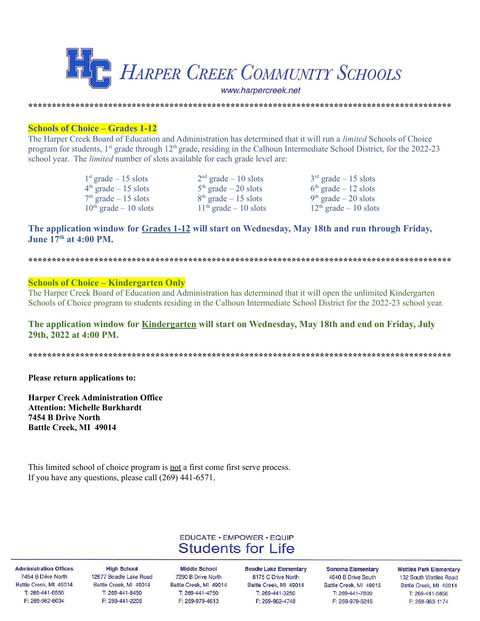

**Schools of Choice – Grades 1-12** 

The Harper Creek Board of Education and Administration has determined that it will run a *limited* Schools of Choice program for students, 1<sup>st</sup> grade through 12<sup>th</sup> grade, residing in the Calhoun Intermediate School District, for the 2022-23 school year. The *limited* number of slots available for each grade level are:

> $1<sup>st</sup>$  grade – 15 slots  $4<sup>th</sup>$  grade – 15 slots  $7<sup>th</sup>$  grade  $-15$  slots  $10<sup>th</sup>$  grade – 10 slots

 $2<sup>nd</sup>$  grade - 10 slots  $5<sup>th</sup>$  grade – 20 slots  $8<sup>th</sup>$  grade – 15 slots  $11<sup>th</sup>$  grade – 10 slots

 $3<sup>rd</sup>$  grade – 15 slots  $6<sup>th</sup>$  grade – 12 slots  $9<sup>th</sup>$  grade – 20 slots  $12<sup>th</sup>$  grade – 10 slots

## The application window for Grades 1-12 will start on Wednesday, May 18th and run through Friday, June  $17<sup>th</sup>$  at  $4.00$  PM

## **Schools of Choice – Kindergarten Only**

The Harper Creek Board of Education and Administration has determined that it will open the unlimited Kindergarten Schools of Choice program to students residing in the Calhoun Intermediate School District for the 2022-23 school year.

## The application window for Kindergarten will start on Wednesday, May 18th and end on Friday, July 29th, 2022 at 4:00 PM.

Please return applications to:

**Harper Creek Administration Office Attention: Michelle Burkhardt** 7454 B Drive North **Battle Creek, MI 49014** 

This limited school of choice program is not a first come first serve process. If you have any questions, please call  $(269)$  441-6571.

## **EDUCATE · EMPOWER · EQUIP Students for Life**

**Administration Offices** 7454 B Drive North Battle Creek, MI 49014 T: 269-441-6550 F: 269-962-6034

**High School** 12677 Beadle Lake Road Battle Creek, MI 49014 T: 269-441-8450 F: 269-441-2206

**Middle School** 7290 B Drive North Battle Creek, MI 49014 T: 269-441-4750 F: 269-979-4613

**Beadle Lake Elementary** 8175 C Drive North Battle Creek, MI 49014 T: 269-441-3250 F: 269-962-4748

**Sonoma Elementary** 4640 B Drive South Battle Creek, MI 49015 T: 269-441-7800 F: 269-979-6246

**Wattles Park Elementary** 132 South Wattles Road Battle Creek, MI 49014 T: 269-441-5850 F: 269-963-1174